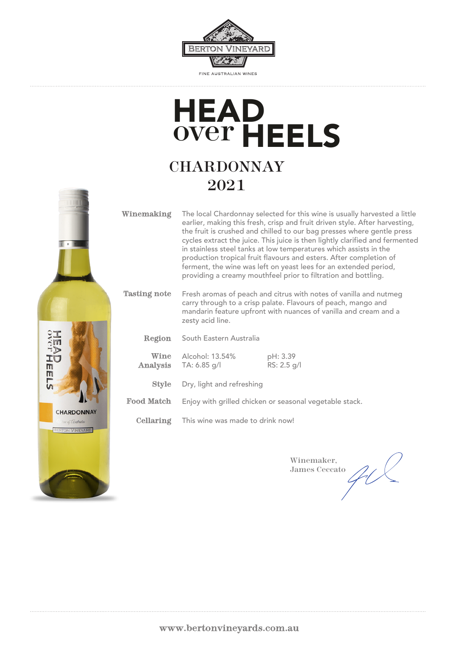

# **CHARDONNAY** over HEELS **HEAD**

## 2021



| Winemaking | The local Chardonnay selected for this wine is usually harvested a little<br>earlier, making this fresh, crisp and fruit driven style. After harvesting,<br>the fruit is crushed and chilled to our bag presses where gentle press<br>cycles extract the juice. This juice is then lightly clarified and fermented<br>in stainless steel tanks at low temperatures which assists in the<br>production tropical fruit flavours and esters. After completion of<br>ferment, the wine was left on yeast lees for an extended period,<br>providing a creamy mouthfeel prior to filtration and bottling. |
|------------|-----------------------------------------------------------------------------------------------------------------------------------------------------------------------------------------------------------------------------------------------------------------------------------------------------------------------------------------------------------------------------------------------------------------------------------------------------------------------------------------------------------------------------------------------------------------------------------------------------|
|            | <b>Monthly of works</b> of the collection of the collection of the collection of the state of the collection of the collection                                                                                                                                                                                                                                                                                                                                                                                                                                                                      |

#### Fresh aromas of peach and citrus with notes of vanilla and nutmeg carry through to a crisp palate. Flavours of peach, mango and mandarin feature upfront with nuances of vanilla and cream and a zesty acid line. Tasting note

|      | <b>Region</b> South Eastern Australia    |                         |
|------|------------------------------------------|-------------------------|
| Wine | Alcohol: 13.54%<br>Analysis TA: 6.85 g/l | pH: 3.39<br>RS: 2.5 g/l |
|      | <b>Style</b> Dry, light and refreshing   |                         |

Food Match Enjoy with grilled chicken or seasonal vegetable stack.

Cellaring This wine was made to drink now!

Winemaker, James Ceccato